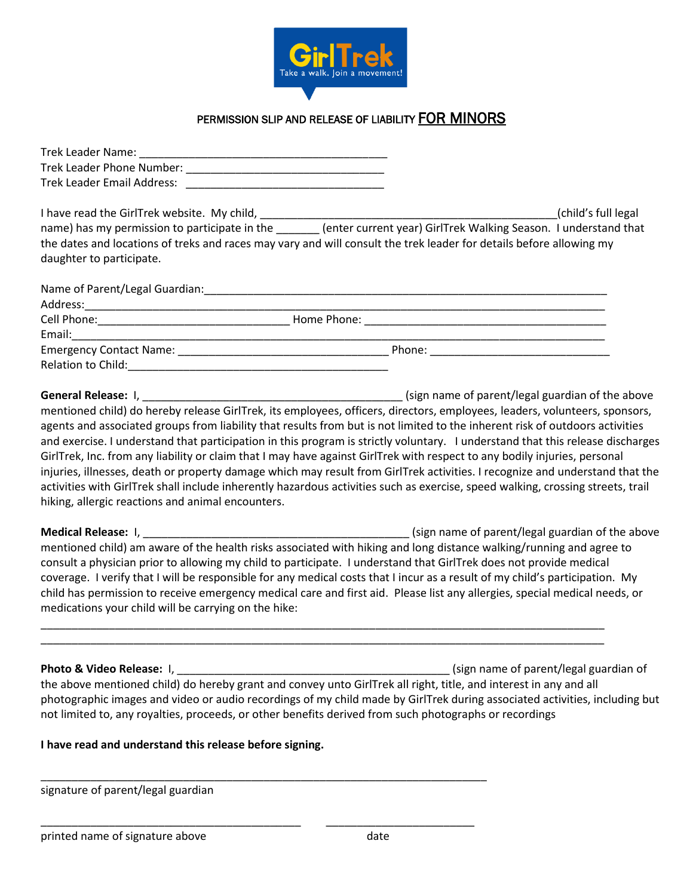

## PERMISSION SLIP AND RELEASE OF LIABILITY FOR MINORS

| Trek Leader Name:          |  |
|----------------------------|--|
| Trek Leader Phone Number:  |  |
| Trek Leader Email Address: |  |

I have read the GirlTrek website. My child, the state of the state of the state of the state of the state of the state of the state of the state of the state of the state of the state of the state of the state of the state name) has my permission to participate in the \_\_\_\_\_\_\_ (enter current year) GirlTrek Walking Season. I understand that the dates and locations of treks and races may vary and will consult the trek leader for details before allowing my daughter to participate.

| Name of Parent/Legal Guardian: |             |        |
|--------------------------------|-------------|--------|
| Address:                       |             |        |
| Cell Phone:                    | Home Phone: |        |
| Email:                         |             |        |
| <b>Emergency Contact Name:</b> |             | Phone: |
| <b>Relation to Child:</b>      |             |        |

**General Release:** I, \_\_\_\_\_\_\_\_\_\_\_\_\_\_\_\_\_\_\_\_\_\_\_\_\_\_\_\_\_\_\_\_\_\_\_\_\_\_\_\_\_\_ (sign name of parent/legal guardian of the above mentioned child) do hereby release GirlTrek, its employees, officers, directors, employees, leaders, volunteers, sponsors, agents and associated groups from liability that results from but is not limited to the inherent risk of outdoors activities and exercise. I understand that participation in this program is strictly voluntary. I understand that this release discharges GirlTrek, Inc. from any liability or claim that I may have against GirlTrek with respect to any bodily injuries, personal injuries, illnesses, death or property damage which may result from GirlTrek activities. I recognize and understand that the activities with GirlTrek shall include inherently hazardous activities such as exercise, speed walking, crossing streets, trail hiking, allergic reactions and animal encounters.

**Medical Release:** I, \_\_\_\_\_\_\_\_\_\_\_\_\_\_\_\_\_\_\_\_\_\_\_\_\_\_\_\_\_\_\_\_\_\_\_\_\_\_\_\_\_\_\_ (sign name of parent/legal guardian of the above mentioned child) am aware of the health risks associated with hiking and long distance walking/running and agree to consult a physician prior to allowing my child to participate. I understand that GirlTrek does not provide medical coverage. I verify that I will be responsible for any medical costs that I incur as a result of my child's participation. My child has permission to receive emergency medical care and first aid. Please list any allergies, special medical needs, or medications your child will be carrying on the hike:

\_\_\_\_\_\_\_\_\_\_\_\_\_\_\_\_\_\_\_\_\_\_\_\_\_\_\_\_\_\_\_\_\_\_\_\_\_\_\_\_\_\_\_\_\_\_\_\_\_\_\_\_\_\_\_\_\_\_\_\_\_\_\_\_\_\_\_\_\_\_\_\_\_\_\_\_\_\_\_\_\_\_\_\_\_\_\_\_\_\_\_ \_\_\_\_\_\_\_\_\_\_\_\_\_\_\_\_\_\_\_\_\_\_\_\_\_\_\_\_\_\_\_\_\_\_\_\_\_\_\_\_\_\_\_\_\_\_\_\_\_\_\_\_\_\_\_\_\_\_\_\_\_\_\_\_\_\_\_\_\_\_\_\_\_\_\_\_\_\_\_\_\_\_\_\_\_\_\_\_\_\_\_

**Photo & Video Release:** I, \_\_\_\_\_\_\_\_\_\_\_\_\_\_\_\_\_\_\_\_\_\_\_\_\_\_\_\_\_\_\_\_\_\_\_\_\_\_\_\_\_\_\_\_ (sign name of parent/legal guardian of the above mentioned child) do hereby grant and convey unto GirlTrek all right, title, and interest in any and all photographic images and video or audio recordings of my child made by GirlTrek during associated activities, including but not limited to, any royalties, proceeds, or other benefits derived from such photographs or recordings

## **I have read and understand this release before signing.**

\_\_\_\_\_\_\_\_\_\_\_\_\_\_\_\_\_\_\_\_\_\_\_\_\_\_\_\_\_\_\_\_\_\_\_\_\_\_\_\_\_\_\_\_\_\_\_\_\_\_\_\_\_\_\_\_\_\_\_\_\_\_\_\_\_\_\_\_\_\_\_\_

\_\_\_\_\_\_\_\_\_\_\_\_\_\_\_\_\_\_\_\_\_\_\_\_\_\_\_\_\_\_\_\_\_\_\_\_\_\_\_\_\_\_ \_\_\_\_\_\_\_\_\_\_\_\_\_\_\_\_\_\_\_\_\_\_\_\_

signature of parent/legal guardian